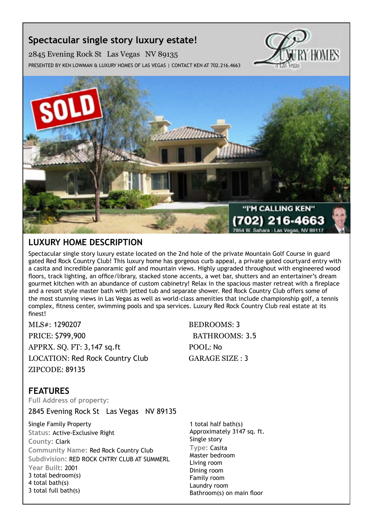# **Spectacular single story luxury estate!**

2845 Evening Rock St Las Vegas NV 89135 Presented by Ken Lowman & Luxury Homes of Las Vegas | Contact Ken at 702.216.4663





# **Luxury Home description**

Spectacular single story luxury estate located on the 2nd hole of the private Mountain Golf Course in guard gated Red Rock Country Club! This luxury home has gorgeous curb appeal, a private gated courtyard entry with a casita and incredible panoramic golf and mountain views. Highly upgraded throughout with engineered wood floors, track lighting, an office/library, stacked stone accents, a wet bar, shutters and an entertainer's dream gourmet kitchen with an abundance of custom cabinetry! Relax in the spacious master retreat with a fireplace and a resort style master bath with jetted tub and separate shower. Red Rock Country Club offers some of the most stunning views in Las Vegas as well as world-class amenities that include championship golf, a tennis complex, fitness center, swimming pools and spa services. Luxury Red Rock Country Club real estate at its finest!

MLS#: 1290207 BEDROOMS: 3 PRICE: \$799,900 BATHROOMS: 3.5 APPRX. SO. FT: 3,147 sq.ft POOL: No LOCATION: Red Rock Country Club GARAGE SIZE : 3 ZIPCODE: 89135

## **features**

**Full Address of property:**

2845 Evening Rock St Las Vegas NV 89135

Single Family Property **Status:** Active-Exclusive Right **County:** Clark **Community Name:** Red Rock Country Club **Subdivision:** RED ROCK CNTRY CLUB AT SUMMERL **Year Built:** 2001 3 total bedroom(s) 4 total bath(s) 3 total full bath(s)

1 total half bath(s) Approximately 3147 sq. ft. Single story **Type:** Casita Master bedroom Living room Dining room Family room Laundry room Bathroom(s) on main floor